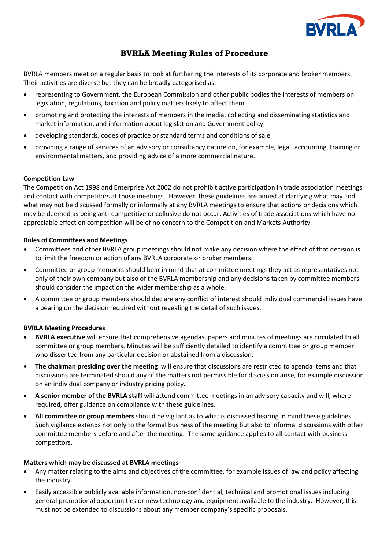

# **BVRLA Meeting Rules of Procedure**

BVRLA members meet on a regular basis to look at furthering the interests of its corporate and broker members. Their activities are diverse but they can be broadly categorised as:

- representing to Government, the European Commission and other public bodies the interests of members on legislation, regulations, taxation and policy matters likely to affect them
- promoting and protecting the interests of members in the media, collecting and disseminating statistics and market information, and information about legislation and Government policy
- developing standards, codes of practice or standard terms and conditions of sale
- providing a range of services of an advisory or consultancy nature on, for example, legal, accounting, training or environmental matters, and providing advice of a more commercial nature.

### **Competition Law**

The Competition Act 1998 and Enterprise Act 2002 do not prohibit active participation in trade association meetings and contact with competitors at those meetings. However, these guidelines are aimed at clarifying what may and what may not be discussed formally or informally at any BVRLA meetings to ensure that actions or decisions which may be deemed as being anti-competitive or collusive do not occur. Activities of trade associations which have no appreciable effect on competition will be of no concern to the Competition and Markets Authority.

#### **Rules of Committees and Meetings**

- Committees and other BVRLA group meetings should not make any decision where the effect of that decision is to limit the freedom or action of any BVRLA corporate or broker members.
- Committee or group members should bear in mind that at committee meetings they act as representatives not only of their own company but also of the BVRLA membership and any decisions taken by committee members should consider the impact on the wider membership as a whole.
- A committee or group members should declare any conflict of interest should individual commercial issues have a bearing on the decision required without revealing the detail of such issues.

### **BVRLA Meeting Procedures**

- **BVRLA executive** will ensure that comprehensive agendas, papers and minutes of meetings are circulated to all committee or group members. Minutes will be sufficiently detailed to identify a committee or group member who dissented from any particular decision or abstained from a discussion.
- **The chairman presiding over the meeting** will ensure that discussions are restricted to agenda items and that discussions are terminated should any of the matters not permissible for discussion arise, for example discussion on an individual company or industry pricing policy.
- **A senior member of the BVRLA staff** will attend committee meetings in an advisory capacity and will, where required, offer guidance on compliance with these guidelines.
- **All committee or group members** should be vigilant as to what is discussed bearing in mind these guidelines. Such vigilance extends not only to the formal business of the meeting but also to informal discussions with other committee members before and after the meeting. The same guidance applies to all contact with business competitors.

### **Matters which may be discussed at BVRLA meetings**

- Any matter relating to the aims and objectives of the committee, for example issues of law and policy affecting the industry.
- Easily accessible publicly available information, non-confidential, technical and promotional issues including general promotional opportunities or new technology and equipment available to the industry. However, this must not be extended to discussions about any member company's specific proposals.